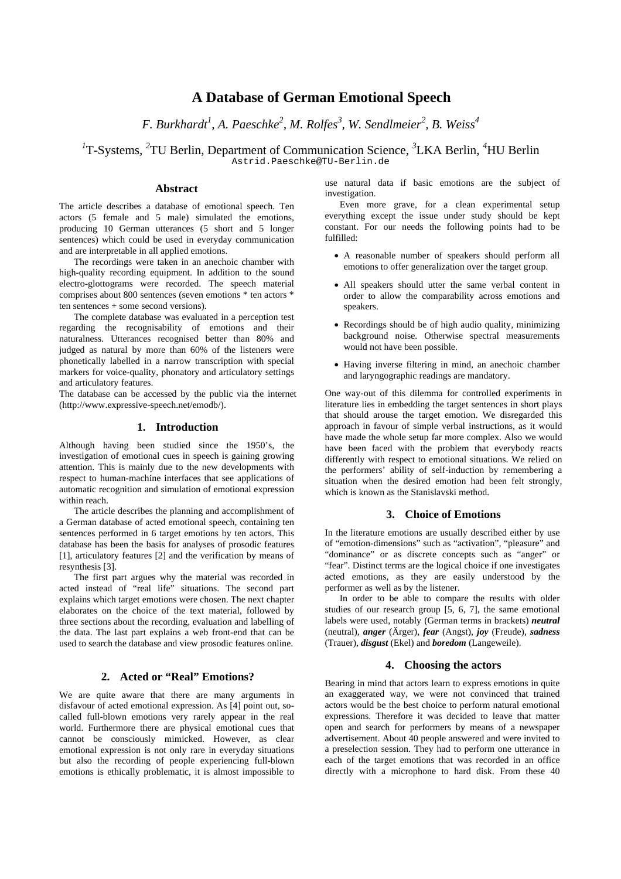# **A Database of German Emotional Speech**

*F. Burkhardt<sup>1</sup> , A. Paeschke2 , M. Rolfes<sup>3</sup> , W. Sendlmeier<sup>2</sup> , B. Weiss<sup>4</sup>*

<sup>1</sup>T-Systems, <sup>2</sup>TU Berlin, Department of Communication Science, <sup>3</sup>LKA Berlin, <sup>4</sup>HU Berlin Astrid.Paeschke@TU-Berlin.de

# **Abstract**

The article describes a database of emotional speech. Ten actors (5 female and 5 male) simulated the emotions, producing 10 German utterances (5 short and 5 longer sentences) which could be used in everyday communication and are interpretable in all applied emotions.

The recordings were taken in an anechoic chamber with high-quality recording equipment. In addition to the sound electro-glottograms were recorded. The speech material comprises about 800 sentences (seven emotions \* ten actors \* ten sentences + some second versions).

The complete database was evaluated in a perception test regarding the recognisability of emotions and their naturalness. Utterances recognised better than 80% and judged as natural by more than 60% of the listeners were phonetically labelled in a narrow transcription with special markers for voice-quality, phonatory and articulatory settings and articulatory features.

The database can be accessed by the public via the internet ([http://www.expressive-speech.net/emodb/](http://www.expressive-speech.net/emodb)).

## **1. Introduction**

Although having been studied since the 1950's, the investigation of emotional cues in speech is gaining growing attention. This is mainly due to the new developments with respect to human-machine interfaces that see applications of automatic recognition and simulation of emotional expression within reach.

The article describes the planning and accomplishment of a German database of acted emotional speech, containing ten sentences performed in 6 target emotions by ten actors. This database has been the basis for analyses of prosodic features [1], articulatory features [2] and the verification by means of resynthesis [3].

The first part argues why the material was recorded in acted instead of "real life" situations. The second part explains which target emotions were chosen. The next chapter elaborates on the choice of the text material, followed by three sections about the recording, evaluation and labelling of the data. The last part explains a web front-end that can be used to search the database and view prosodic features online.

## **2. Acted or "Real" Emotions?**

We are quite aware that there are many arguments in disfavour of acted emotional expression. As [4] point out, socalled full-blown emotions very rarely appear in the real world. Furthermore there are physical emotional cues that cannot be consciously mimicked. However, as clear emotional expression is not only rare in everyday situations but also the recording of people experiencing full-blown emotions is ethically problematic, it is almost impossible to

use natural data if basic emotions are the subject of investigation.

Even more grave, for a clean experimental setup everything except the issue under study should be kept constant. For our needs the following points had to be fulfilled:

- A reasonable number of speakers should perform all emotions to offer generalization over the target group.
- All speakers should utter the same verbal content in order to allow the comparability across emotions and speakers.
- Recordings should be of high audio quality, minimizing background noise. Otherwise spectral measurements would not have been possible.
- Having inverse filtering in mind, an anechoic chamber and laryngographic readings are mandatory.

One way-out of this dilemma for controlled experiments in literature lies in embedding the target sentences in short plays that should arouse the target emotion. We disregarded this approach in favour of simple verbal instructions, as it would have made the whole setup far more complex. Also we would have been faced with the problem that everybody reacts differently with respect to emotional situations. We relied on the performers' ability of self-induction by remembering a situation when the desired emotion had been felt strongly, which is known as the Stanislavski method.

#### **3. Choice of Emotions**

In the literature emotions are usually described either by use of "emotion-dimensions" such as "activation", "pleasure" and "dominance" or as discrete concepts such as "anger" or "fear". Distinct terms are the logical choice if one investigates acted emotions, as they are easily understood by the performer as well as by the listener.

In order to be able to compare the results with older studies of our research group  $\overline{5}$ , 6, 7, the same emotional labels were used, notably (German terms in brackets) *neutral* (neutral), *anger* (Ärger), *fear* (Angst), *joy* (Freude), *sadness* (Trauer), *disgust* (Ekel) and *boredom* (Langeweile).

# **4. Choosing the actors**

Bearing in mind that actors learn to express emotions in quite an exaggerated way, we were not convinced that trained actors would be the best choice to perform natural emotional expressions. Therefore it was decided to leave that matter open and search for performers by means of a newspaper advertisement. About 40 people answered and were invited to a preselection session. They had to perform one utterance in each of the target emotions that was recorded in an office directly with a microphone to hard disk. From these 40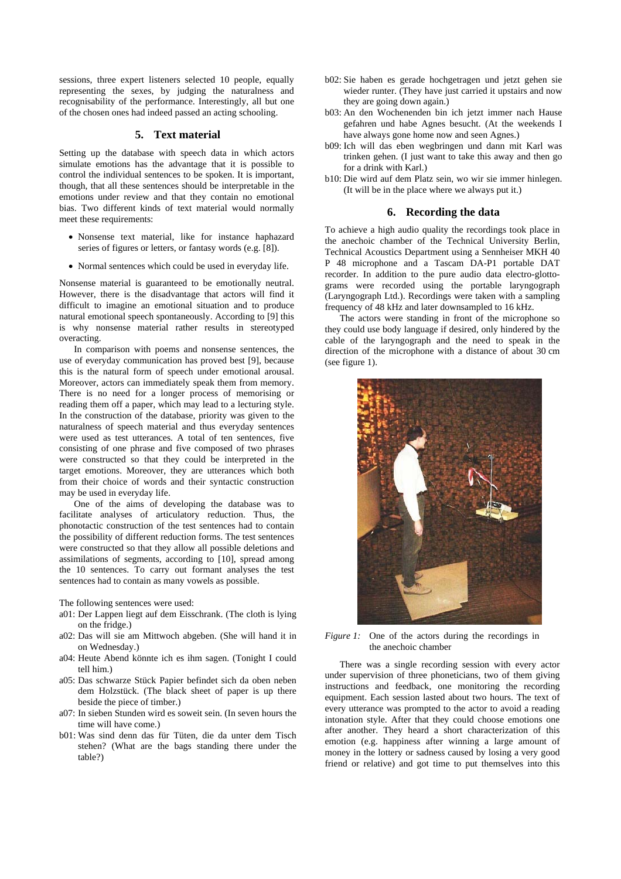sessions, three expert listeners selected 10 people, equally representing the sexes, by judging the naturalness and recognisability of the performance. Interestingly, all but one of the chosen ones had indeed passed an acting schooling.

# **5. Text material**

Setting up the database with speech data in which actors simulate emotions has the advantage that it is possible to control the individual sentences to be spoken. It is important, though, that all these sentences should be interpretable in the emotions under review and that they contain no emotional bias. Two different kinds of text material would normally meet these requirements:

- Nonsense text material, like for instance haphazard series of figures or letters, or fantasy words (e.g. [8]).
- Normal sentences which could be used in everyday life.

Nonsense material is guaranteed to be emotionally neutral. However, there is the disadvantage that actors will find it difficult to imagine an emotional situation and to produce natural emotional speech spontaneously. According to [9] this is why nonsense material rather results in stereotyped overacting.

In comparison with poems and nonsense sentences, the use of everyday communication has proved best [9], because this is the natural form of speech under emotional arousal. Moreover, actors can immediately speak them from memory. There is no need for a longer process of memorising or reading them off a paper, which may lead to a lecturing style. In the construction of the database, priority was given to the naturalness of speech material and thus everyday sentences were used as test utterances. A total of ten sentences, five consisting of one phrase and five composed of two phrases were constructed so that they could be interpreted in the target emotions. Moreover, they are utterances which both from their choice of words and their syntactic construction may be used in everyday life.

One of the aims of developing the database was to facilitate analyses of articulatory reduction. Thus, the phonotactic construction of the test sentences had to contain the possibility of different reduction forms. The test sentences were constructed so that they allow all possible deletions and assimilations of segments, according to [10], spread among the 10 sentences. To carry out formant analyses the test sentences had to contain as many vowels as possible.

The following sentences were used:

- a01: Der Lappen liegt auf dem Eisschrank. (The cloth is lying on the fridge.)
- a02: Das will sie am Mittwoch abgeben. (She will hand it in on Wednesday.)
- a04: Heute Abend könnte ich es ihm sagen. (Tonight I could tell him.)
- a05: Das schwarze Stück Papier befindet sich da oben neben dem Holzstück. (The black sheet of paper is up there beside the piece of timber.)
- a07: In sieben Stunden wird es soweit sein. (In seven hours the time will have come.)
- b01: Was sind denn das für Tüten, die da unter dem Tisch stehen? (What are the bags standing there under the table?)
- b02: Sie haben es gerade hochgetragen und jetzt gehen sie wieder runter. (They have just carried it upstairs and now they are going down again.)
- b03: An den Wochenenden bin ich jetzt immer nach Hause gefahren und habe Agnes besucht. (At the weekends I have always gone home now and seen Agnes.)
- b09: Ich will das eben wegbringen und dann mit Karl was trinken gehen. (I just want to take this away and then go for a drink with Karl.)
- b10: Die wird auf dem Platz sein, wo wir sie immer hinlegen. (It will be in the place where we always put it.)

#### **6. Recording the data**

To achieve a high audio quality the recordings took place in the anechoic chamber of the Technical University Berlin, Technical Acoustics Department using a Sennheiser MKH 40 P 48 microphone and a Tascam DA-P1 portable DAT recorder. In addition to the pure audio data electro-glottograms were recorded using the portable laryngograph (Laryngograph Ltd.). Recordings were taken with a sampling frequency of 48 kHz and later downsampled to 16 kHz.

The actors were standing in front of the microphone so they could use body language if desired, only hindered by the cable of the laryngograph and the need to speak in the direction of the microphone with a distance of about 30 cm (see figure 1).



*Figure 1:* One of the actors during the recordings in the anechoic chamber

There was a single recording session with every actor under supervision of three phoneticians, two of them giving instructions and feedback, one monitoring the recording equipment. Each session lasted about two hours. The text of every utterance was prompted to the actor to avoid a reading intonation style. After that they could choose emotions one after another. They heard a short characterization of this emotion (e.g. happiness after winning a large amount of money in the lottery or sadness caused by losing a very good friend or relative) and got time to put themselves into this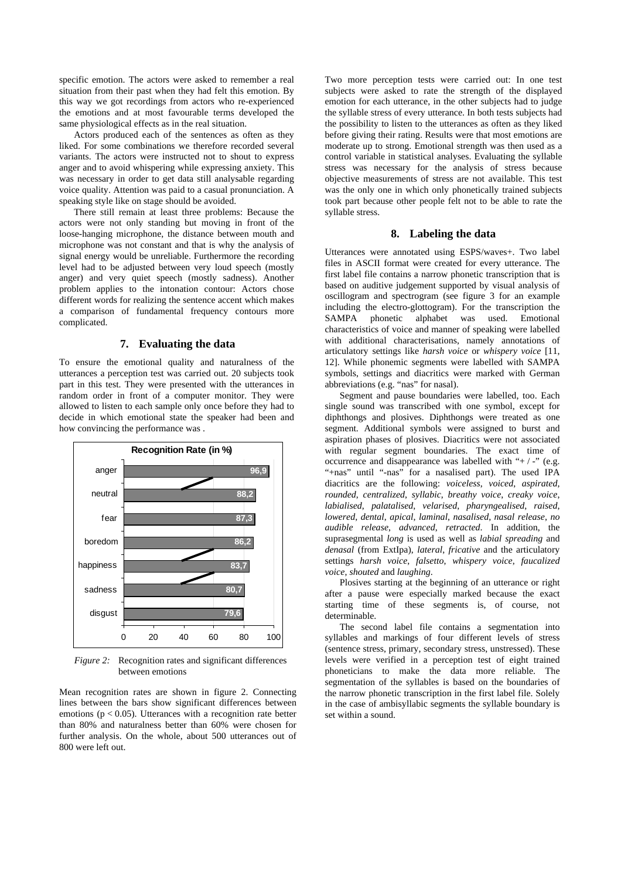specific emotion. The actors were asked to remember a real situation from their past when they had felt this emotion. By this way we got recordings from actors who re-experienced the emotions and at most favourable terms developed the same physiological effects as in the real situation.

Actors produced each of the sentences as often as they liked. For some combinations we therefore recorded several variants. The actors were instructed not to shout to express anger and to avoid whispering while expressing anxiety. This was necessary in order to get data still analysable regarding voice quality. Attention was paid to a casual pronunciation. A speaking style like on stage should be avoided.

There still remain at least three problems: Because the actors were not only standing but moving in front of the loose-hanging microphone, the distance between mouth and microphone was not constant and that is why the analysis of signal energy would be unreliable. Furthermore the recording level had to be adjusted between very loud speech (mostly anger) and very quiet speech (mostly sadness). Another problem applies to the intonation contour: Actors chose different words for realizing the sentence accent which makes a comparison of fundamental frequency contours more complicated.

# **7. Evaluating the data**

To ensure the emotional quality and naturalness of the utterances a perception test was carried out. 20 subjects took part in this test. They were presented with the utterances in random order in front of a computer monitor. They were allowed to listen to each sample only once before they had to decide in which emotional state the speaker had been and how convincing the performance was .



*Figure 2:* Recognition rates and significant differences between emotions

Mean recognition rates are shown in figure 2. Connecting lines between the bars show significant differences between emotions ( $p < 0.05$ ). Utterances with a recognition rate better than 80% and naturalness better than 60% were chosen for further analysis. On the whole, about 500 utterances out of 800 were left out.

Two more perception tests were carried out: In one test subjects were asked to rate the strength of the displayed emotion for each utterance, in the other subjects had to judge the syllable stress of every utterance. In both tests subjects had the possibility to listen to the utterances as often as they liked before giving their rating. Results were that most emotions are moderate up to strong. Emotional strength was then used as a control variable in statistical analyses. Evaluating the syllable stress was necessary for the analysis of stress because objective measurements of stress are not available. This test was the only one in which only phonetically trained subjects took part because other people felt not to be able to rate the syllable stress.

## **8. Labeling the data**

Utterances were annotated using ESPS/waves+. Two label files in ASCII format were created for every utterance. The first label file contains a narrow phonetic transcription that is based on auditive judgement supported by visual analysis of oscillogram and spectrogram (see figure 3 for an example including the electro-glottogram). For the transcription the SAMPA phonetic alphabet was used. Emotional characteristics of voice and manner of speaking were labelled with additional characterisations, namely annotations of articulatory settings like *harsh voice* or *whispery voice* [11, 12]. While phonemic segments were labelled with SAMPA symbols, settings and diacritics were marked with German abbreviations (e.g. "nas" for nasal).

Segment and pause boundaries were labelled, too. Each single sound was transcribed with one symbol, except for diphthongs and plosives. Diphthongs were treated as one segment. Additional symbols were assigned to burst and aspiration phases of plosives. Diacritics were not associated with regular segment boundaries. The exact time of occurrence and disappearance was labelled with " $+/-$ " (e.g. "+nas" until "-nas" for a nasalised part). The used IPA diacritics are the following: *voiceless*, *voiced*, *aspirated*, *rounded*, *centralized*, *syllabic*, *breathy voice*, *creaky voice*, *labialised*, *palatalised*, *velarised*, *pharyngealised*, *raised*, *lowered*, *dental*, *apical*, *laminal*, *nasalised*, *nasal release*, *no audible release*, *advanced*, *retracted*. In addition, the suprasegmental *long* is used as well as *labial spreading* and *denasal* (from ExtIpa), *lateral*, *fricative* and the articulatory settings *harsh voice*, *falsetto*, *whispery voice*, *faucalized voice*, *shouted* and *laughing*.

Plosives starting at the beginning of an utterance or right after a pause were especially marked because the exact starting time of these segments is, of course, not determinable.

The second label file contains a segmentation into syllables and markings of four different levels of stress (sentence stress, primary, secondary stress, unstressed). These levels were verified in a perception test of eight trained phoneticians to make the data more reliable. The segmentation of the syllables is based on the boundaries of the narrow phonetic transcription in the first label file. Solely in the case of ambisyllabic segments the syllable boundary is set within a sound.